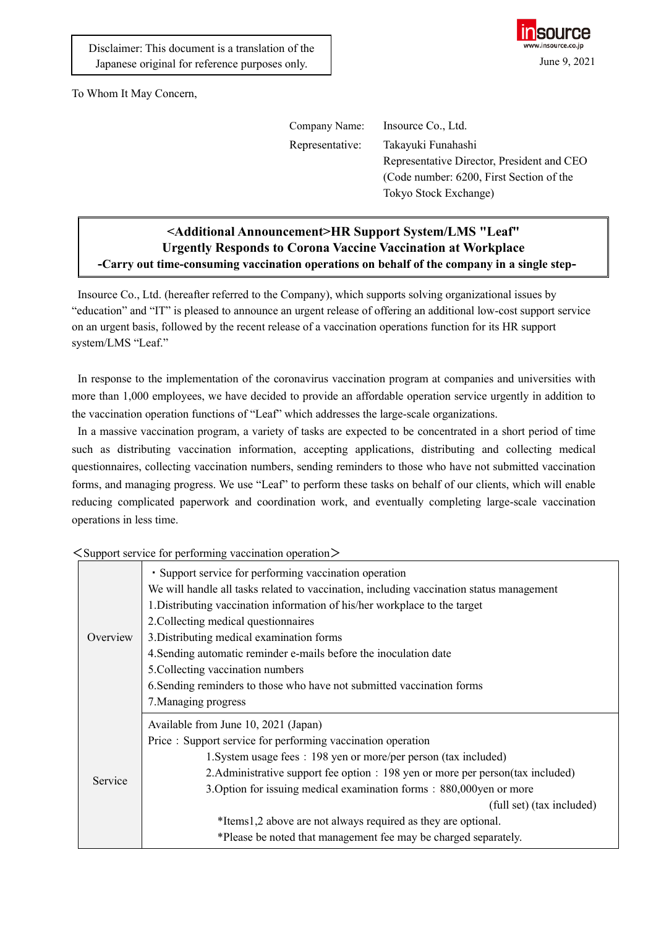

To Whom It May Concern,

| Company Name:   | Insource Co., Ltd.                         |
|-----------------|--------------------------------------------|
| Representative: | Takayuki Funahashi                         |
|                 | Representative Director, President and CEO |
|                 | (Code number: 6200, First Section of the   |
|                 | Tokyo Stock Exchange)                      |

## **<Additional Announcement>HR Support System/LMS "Leaf" Urgently Responds to Corona Vaccine Vaccination at Workplace -Carry out time-consuming vaccination operations on behalf of the company in a single step-**

Insource Co., Ltd. (hereafter referred to the Company), which supports solving organizational issues by "education" and "IT" is pleased to announce an urgent release of offering an additional low-cost support service on an urgent basis, followed by the recent release of a vaccination operations function for its HR support system/LMS "Leaf."

In response to the implementation of the coronavirus vaccination program at companies and universities with more than 1,000 employees, we have decided to provide an affordable operation service urgently in addition to the vaccination operation functions of "Leaf" which addresses the large-scale organizations.

In a massive vaccination program, a variety of tasks are expected to be concentrated in a short period of time such as distributing vaccination information, accepting applications, distributing and collecting medical questionnaires, collecting vaccination numbers, sending reminders to those who have not submitted vaccination forms, and managing progress. We use "Leaf" to perform these tasks on behalf of our clients, which will enable reducing complicated paperwork and coordination work, and eventually completing large-scale vaccination operations in less time.

|          | $\leq$ Support service for performing vaccination operation $\geq$                       |
|----------|------------------------------------------------------------------------------------------|
|          | · Support service for performing vaccination operation                                   |
| Overview | We will handle all tasks related to vaccination, including vaccination status management |
|          | 1. Distributing vaccination information of his/her workplace to the target               |
|          | 2. Collecting medical questionnaires                                                     |
|          | 3. Distributing medical examination forms                                                |
|          | 4. Sending automatic reminder e-mails before the inoculation date                        |
|          | 5. Collecting vaccination numbers                                                        |
|          | 6. Sending reminders to those who have not submitted vaccination forms                   |
|          | 7. Managing progress                                                                     |
|          | Available from June 10, 2021 (Japan)                                                     |
| Service  | Price: Support service for performing vaccination operation                              |
|          | 1. System usage fees : 198 yen or more/per person (tax included)                         |
|          | 2. Administrative support fee option : 198 yen or more per person(tax included)          |
|          | 3. Option for issuing medical examination forms: 880,000 yen or more                     |
|          | (full set) (tax included)                                                                |
|          | *Items1,2 above are not always required as they are optional.                            |
|          | *Please be noted that management fee may be charged separately.                          |